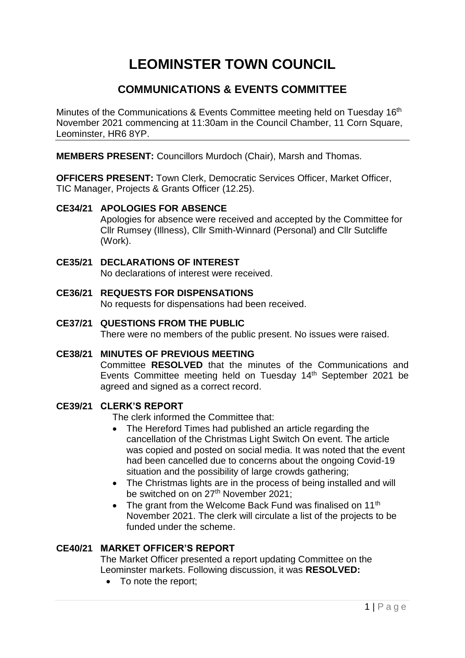# **LEOMINSTER TOWN COUNCIL**

# **COMMUNICATIONS & EVENTS COMMITTEE**

Minutes of the Communications & Events Committee meeting held on Tuesday 16<sup>th</sup> November 2021 commencing at 11:30am in the Council Chamber, 11 Corn Square. Leominster, HR6 8YP.

**MEMBERS PRESENT:** Councillors Murdoch (Chair), Marsh and Thomas.

**OFFICERS PRESENT:** Town Clerk, Democratic Services Officer, Market Officer, TIC Manager, Projects & Grants Officer (12.25).

# **CE34/21 APOLOGIES FOR ABSENCE**

Apologies for absence were received and accepted by the Committee for Cllr Rumsey (Illness), Cllr Smith-Winnard (Personal) and Cllr Sutcliffe (Work).

#### **CE35/21 DECLARATIONS OF INTEREST** No declarations of interest were received.

- **CE36/21 REQUESTS FOR DISPENSATIONS** No requests for dispensations had been received.
- **CE37/21 QUESTIONS FROM THE PUBLIC** There were no members of the public present. No issues were raised.
- **CE38/21 MINUTES OF PREVIOUS MEETING** Committee **RESOLVED** that the minutes of the Communications and Events Committee meeting held on Tuesday 14th September 2021 be agreed and signed as a correct record.

# **CE39/21 CLERK'S REPORT**

The clerk informed the Committee that:

- The Hereford Times had published an article regarding the cancellation of the Christmas Light Switch On event. The article was copied and posted on social media. It was noted that the event had been cancelled due to concerns about the ongoing Covid-19 situation and the possibility of large crowds gathering;
- The Christmas lights are in the process of being installed and will be switched on on 27<sup>th</sup> November 2021:
- The grant from the Welcome Back Fund was finalised on 11<sup>th</sup> November 2021. The clerk will circulate a list of the projects to be funded under the scheme.

# **CE40/21 MARKET OFFICER'S REPORT**

The Market Officer presented a report updating Committee on the Leominster markets. Following discussion, it was **RESOLVED:**

• To note the report;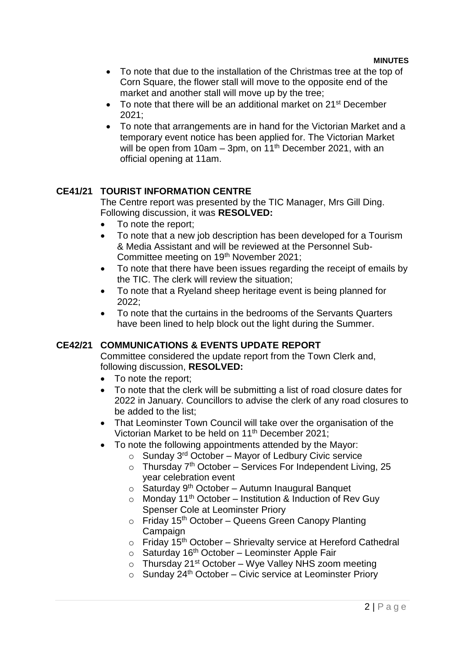- To note that due to the installation of the Christmas tree at the top of Corn Square, the flower stall will move to the opposite end of the market and another stall will move up by the tree;
- To note that there will be an additional market on 21<sup>st</sup> December 2021;
- To note that arrangements are in hand for the Victorian Market and a temporary event notice has been applied for. The Victorian Market will be open from 10am  $-$  3pm, on 11<sup>th</sup> December 2021, with an official opening at 11am.

# **CE41/21 TOURIST INFORMATION CENTRE**

The Centre report was presented by the TIC Manager, Mrs Gill Ding. Following discussion, it was **RESOLVED:**

- To note the report:
- To note that a new job description has been developed for a Tourism & Media Assistant and will be reviewed at the Personnel Sub-Committee meeting on 19<sup>th</sup> November 2021;
- To note that there have been issues regarding the receipt of emails by the TIC. The clerk will review the situation;
- To note that a Ryeland sheep heritage event is being planned for 2022;
- To note that the curtains in the bedrooms of the Servants Quarters have been lined to help block out the light during the Summer.

## **CE42/21 COMMUNICATIONS & EVENTS UPDATE REPORT**

Committee considered the update report from the Town Clerk and, following discussion, **RESOLVED:**

- To note the report:
- To note that the clerk will be submitting a list of road closure dates for 2022 in January. Councillors to advise the clerk of any road closures to be added to the list;
- That Leominster Town Council will take over the organisation of the Victorian Market to be held on 11<sup>th</sup> December 2021:
- To note the following appointments attended by the Mayor:
	- $\circ$  Sunday 3<sup>rd</sup> October Mayor of Ledbury Civic service
		- $\circ$  Thursday 7<sup>th</sup> October Services For Independent Living, 25 year celebration event
		- $\circ$  Saturday 9<sup>th</sup> October Autumn Inaugural Banquet
		- $\circ$  Monday 11<sup>th</sup> October Institution & Induction of Rev Guy Spenser Cole at Leominster Priory
		- $\circ$  Friday 15<sup>th</sup> October Queens Green Canopy Planting Campaign
		- $\circ$  Friday 15<sup>th</sup> October Shrievalty service at Hereford Cathedral
		- $\circ$  Saturday 16<sup>th</sup> October Leominster Apple Fair
		- $\circ$  Thursday 21<sup>st</sup> October Wye Valley NHS zoom meeting
		- $\circ$  Sunday 24<sup>th</sup> October Civic service at Leominster Priory